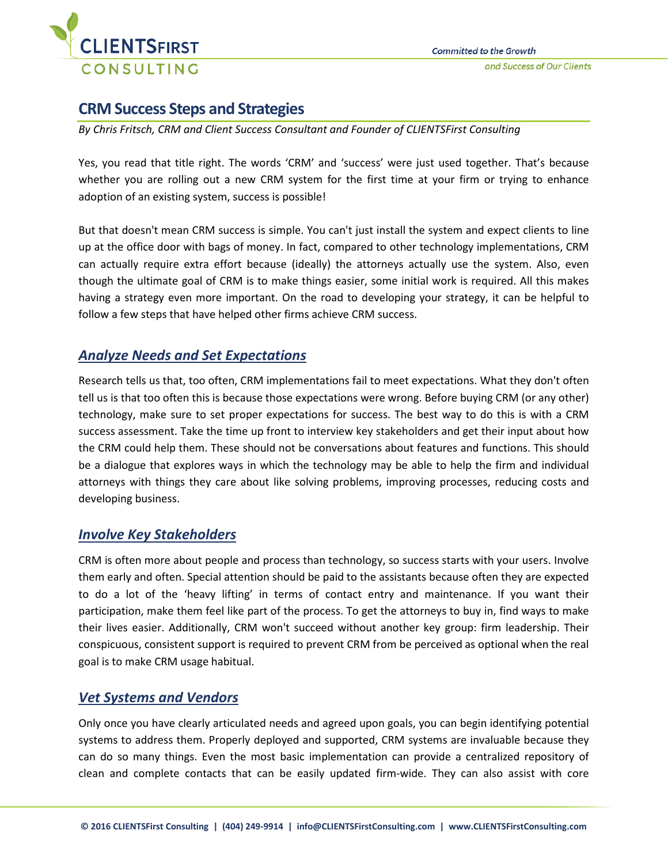

# **CRM Success Steps and Strategies**

*By Chris Fritsch, CRM and Client Success Consultant and Founder of CLIENTSFirst Consulting*

Yes, you read that title right. The words 'CRM' and 'success' were just used together. That's because whether you are rolling out a new CRM system for the first time at your firm or trying to enhance adoption of an existing system, success is possible!

But that doesn't mean CRM success is simple. You can't just install the system and expect clients to line up at the office door with bags of money. In fact, compared to other technology implementations, CRM can actually require extra effort because (ideally) the attorneys actually use the system. Also, even though the ultimate goal of CRM is to make things easier, some initial work is required. All this makes having a strategy even more important. On the road to developing your strategy, it can be helpful to follow a few steps that have helped other firms achieve CRM success.

# *Analyze Needs and Set Expectations*

Research tells us that, too often, CRM implementations fail to meet expectations. What they don't often tell us is that too often this is because those expectations were wrong. Before buying CRM (or any other) technology, make sure to set proper expectations for success. The best way to do this is with a CRM success assessment. Take the time up front to interview key stakeholders and get their input about how the CRM could help them. These should not be conversations about features and functions. This should be a dialogue that explores ways in which the technology may be able to help the firm and individual attorneys with things they care about like solving problems, improving processes, reducing costs and developing business.

# *Involve Key Stakeholders*

CRM is often more about people and process than technology, so success starts with your users. Involve them early and often. Special attention should be paid to the assistants because often they are expected to do a lot of the 'heavy lifting' in terms of contact entry and maintenance. If you want their participation, make them feel like part of the process. To get the attorneys to buy in, find ways to make their lives easier. Additionally, CRM won't succeed without another key group: firm leadership. Their conspicuous, consistent support is required to prevent CRM from be perceived as optional when the real goal is to make CRM usage habitual.

## *Vet Systems and Vendors*

Only once you have clearly articulated needs and agreed upon goals, you can begin identifying potential systems to address them. Properly deployed and supported, CRM systems are invaluable because they can do so many things. Even the most basic implementation can provide a centralized repository of clean and complete contacts that can be easily updated firm-wide. They can also assist with core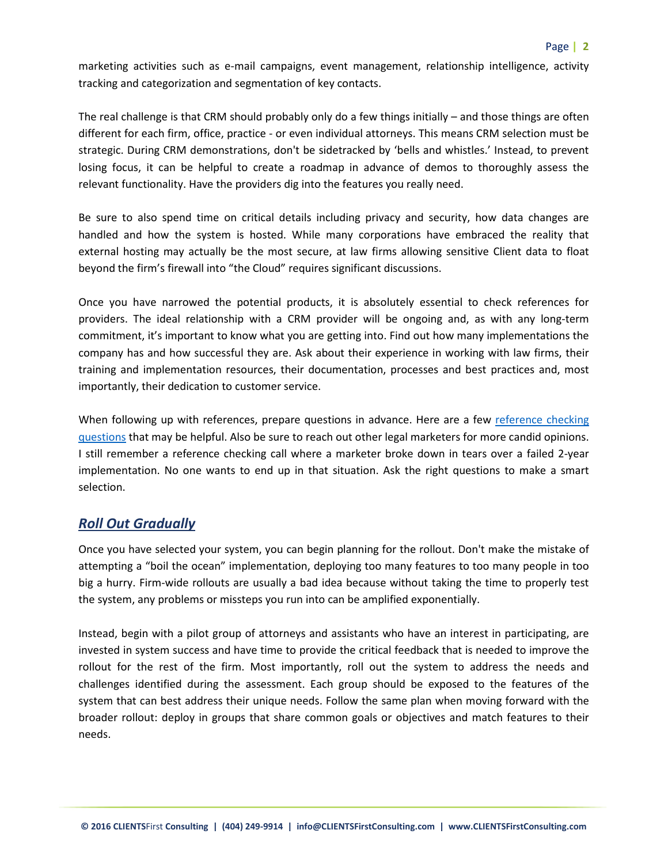marketing activities such as e-mail campaigns, event management, relationship intelligence, activity tracking and categorization and segmentation of key contacts.

The real challenge is that CRM should probably only do a few things initially – and those things are often different for each firm, office, practice - or even individual attorneys. This means CRM selection must be strategic. During CRM demonstrations, don't be sidetracked by 'bells and whistles.' Instead, to prevent losing focus, it can be helpful to create a roadmap in advance of demos to thoroughly assess the relevant functionality. Have the providers dig into the features you really need.

Be sure to also spend time on critical details including privacy and security, how data changes are handled and how the system is hosted. While many corporations have embraced the reality that external hosting may actually be the most secure, at law firms allowing sensitive Client data to float beyond the firm's firewall into "the Cloud" requires significant discussions.

Once you have narrowed the potential products, it is absolutely essential to check references for providers. The ideal relationship with a CRM provider will be ongoing and, as with any long-term commitment, it's important to know what you are getting into. Find out how many implementations the company has and how successful they are. Ask about their experience in working with law firms, their training and implementation resources, their documentation, processes and best practices and, most importantly, their dedication to customer service.

When following up with references, prepare questions in advance. Here are a few reference checking [questions](http://www.clientsfirstconsulting.com/portalresource/Reference%20Checking%20Questions) that may be helpful. Also be sure to reach out other legal marketers for more candid opinions. I still remember a reference checking call where a marketer broke down in tears over a failed 2-year implementation. No one wants to end up in that situation. Ask the right questions to make a smart selection.

## *Roll Out Gradually*

Once you have selected your system, you can begin planning for the rollout. Don't make the mistake of attempting a "boil the ocean" implementation, deploying too many features to too many people in too big a hurry. Firm-wide rollouts are usually a bad idea because without taking the time to properly test the system, any problems or missteps you run into can be amplified exponentially.

Instead, begin with a pilot group of attorneys and assistants who have an interest in participating, are invested in system success and have time to provide the critical feedback that is needed to improve the rollout for the rest of the firm. Most importantly, roll out the system to address the needs and challenges identified during the assessment. Each group should be exposed to the features of the system that can best address their unique needs. Follow the same plan when moving forward with the broader rollout: deploy in groups that share common goals or objectives and match features to their needs.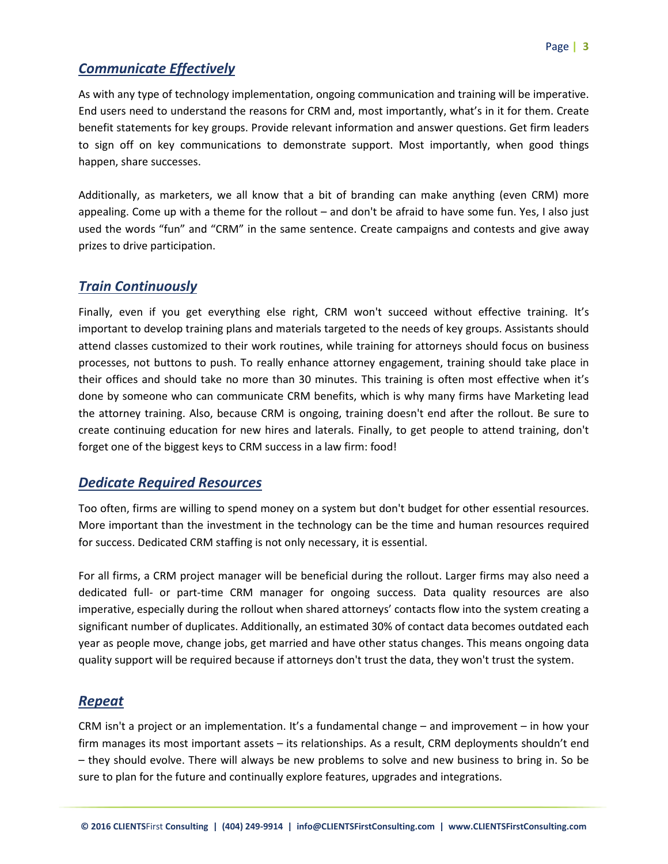#### *Communicate Effectively*

As with any type of technology implementation, ongoing communication and training will be imperative. End users need to understand the reasons for CRM and, most importantly, what's in it for them. Create benefit statements for key groups. Provide relevant information and answer questions. Get firm leaders to sign off on key communications to demonstrate support. Most importantly, when good things happen, share successes.

Additionally, as marketers, we all know that a bit of branding can make anything (even CRM) more appealing. Come up with a theme for the rollout – and don't be afraid to have some fun. Yes, I also just used the words "fun" and "CRM" in the same sentence. Create campaigns and contests and give away prizes to drive participation.

#### *Train Continuously*

Finally, even if you get everything else right, CRM won't succeed without effective training. It's important to develop training plans and materials targeted to the needs of key groups. Assistants should attend classes customized to their work routines, while training for attorneys should focus on business processes, not buttons to push. To really enhance attorney engagement, training should take place in their offices and should take no more than 30 minutes. This training is often most effective when it's done by someone who can communicate CRM benefits, which is why many firms have Marketing lead the attorney training. Also, because CRM is ongoing, training doesn't end after the rollout. Be sure to create continuing education for new hires and laterals. Finally, to get people to attend training, don't forget one of the biggest keys to CRM success in a law firm: food!

#### *Dedicate Required Resources*

Too often, firms are willing to spend money on a system but don't budget for other essential resources. More important than the investment in the technology can be the time and human resources required for success. Dedicated CRM staffing is not only necessary, it is essential.

For all firms, a CRM project manager will be beneficial during the rollout. Larger firms may also need a dedicated full- or part-time CRM manager for ongoing success. Data quality resources are also imperative, especially during the rollout when shared attorneys' contacts flow into the system creating a significant number of duplicates. Additionally, an estimated 30% of contact data becomes outdated each year as people move, change jobs, get married and have other status changes. This means ongoing data quality support will be required because if attorneys don't trust the data, they won't trust the system.

## *Repeat*

CRM isn't a project or an implementation. It's a fundamental change – and improvement – in how your firm manages its most important assets – its relationships. As a result, CRM deployments shouldn't end – they should evolve. There will always be new problems to solve and new business to bring in. So be sure to plan for the future and continually explore features, upgrades and integrations.